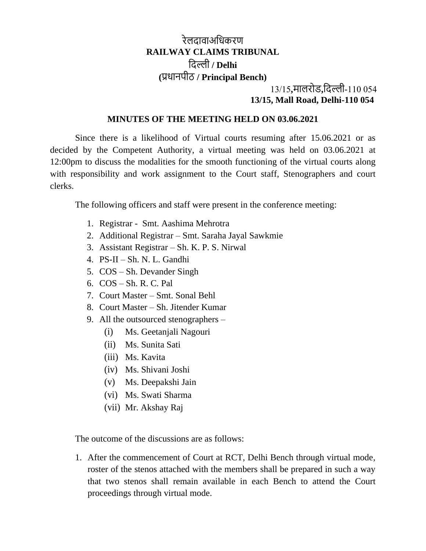## रेलदावाअधिकरण **RAILWAY CLAIMS TRIBUNAL** धदल्ली **/ Delhi (**प्रिानपीठ **/ Principal Bench)**

## 13/15**,**मालरोड**,**धदल्ली-110 054 **13/15, Mall Road, Delhi-110 054**

## **MINUTES OF THE MEETING HELD ON 03.06.2021**

Since there is a likelihood of Virtual courts resuming after 15.06.2021 or as decided by the Competent Authority, a virtual meeting was held on 03.06.2021 at 12:00pm to discuss the modalities for the smooth functioning of the virtual courts along with responsibility and work assignment to the Court staff, Stenographers and court clerks.

The following officers and staff were present in the conference meeting:

- 1. Registrar Smt. Aashima Mehrotra
- 2. Additional Registrar Smt. Saraha Jayal Sawkmie
- 3. Assistant Registrar Sh. K. P. S. Nirwal
- 4. PS-II Sh. N. L. Gandhi
- 5. COS Sh. Devander Singh
- 6. COS Sh. R. C. Pal
- 7. Court Master Smt. Sonal Behl
- 8. Court Master Sh. Jitender Kumar
- 9. All the outsourced stenographers
	- (i) Ms. Geetanjali Nagouri
	- (ii) Ms. Sunita Sati
	- (iii) Ms. Kavita
	- (iv) Ms. Shivani Joshi
	- (v) Ms. Deepakshi Jain
	- (vi) Ms. Swati Sharma
	- (vii) Mr. Akshay Raj

The outcome of the discussions are as follows:

1. After the commencement of Court at RCT, Delhi Bench through virtual mode, roster of the stenos attached with the members shall be prepared in such a way that two stenos shall remain available in each Bench to attend the Court proceedings through virtual mode.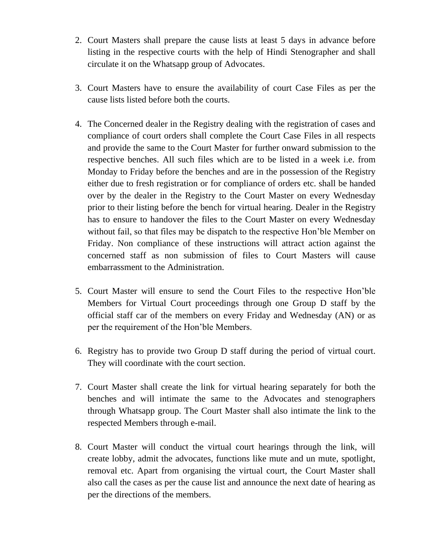- 2. Court Masters shall prepare the cause lists at least 5 days in advance before listing in the respective courts with the help of Hindi Stenographer and shall circulate it on the Whatsapp group of Advocates.
- 3. Court Masters have to ensure the availability of court Case Files as per the cause lists listed before both the courts.
- 4. The Concerned dealer in the Registry dealing with the registration of cases and compliance of court orders shall complete the Court Case Files in all respects and provide the same to the Court Master for further onward submission to the respective benches. All such files which are to be listed in a week i.e. from Monday to Friday before the benches and are in the possession of the Registry either due to fresh registration or for compliance of orders etc. shall be handed over by the dealer in the Registry to the Court Master on every Wednesday prior to their listing before the bench for virtual hearing. Dealer in the Registry has to ensure to handover the files to the Court Master on every Wednesday without fail, so that files may be dispatch to the respective Hon'ble Member on Friday. Non compliance of these instructions will attract action against the concerned staff as non submission of files to Court Masters will cause embarrassment to the Administration.
- 5. Court Master will ensure to send the Court Files to the respective Hon'ble Members for Virtual Court proceedings through one Group D staff by the official staff car of the members on every Friday and Wednesday (AN) or as per the requirement of the Hon'ble Members.
- 6. Registry has to provide two Group D staff during the period of virtual court. They will coordinate with the court section.
- 7. Court Master shall create the link for virtual hearing separately for both the benches and will intimate the same to the Advocates and stenographers through Whatsapp group. The Court Master shall also intimate the link to the respected Members through e-mail.
- 8. Court Master will conduct the virtual court hearings through the link, will create lobby, admit the advocates, functions like mute and un mute, spotlight, removal etc. Apart from organising the virtual court, the Court Master shall also call the cases as per the cause list and announce the next date of hearing as per the directions of the members.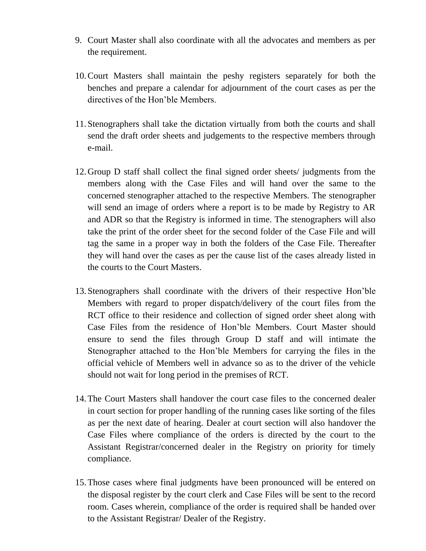- 9. Court Master shall also coordinate with all the advocates and members as per the requirement.
- 10.Court Masters shall maintain the peshy registers separately for both the benches and prepare a calendar for adjournment of the court cases as per the directives of the Hon'ble Members.
- 11.Stenographers shall take the dictation virtually from both the courts and shall send the draft order sheets and judgements to the respective members through e-mail.
- 12.Group D staff shall collect the final signed order sheets/ judgments from the members along with the Case Files and will hand over the same to the concerned stenographer attached to the respective Members. The stenographer will send an image of orders where a report is to be made by Registry to AR and ADR so that the Registry is informed in time. The stenographers will also take the print of the order sheet for the second folder of the Case File and will tag the same in a proper way in both the folders of the Case File. Thereafter they will hand over the cases as per the cause list of the cases already listed in the courts to the Court Masters.
- 13.Stenographers shall coordinate with the drivers of their respective Hon'ble Members with regard to proper dispatch/delivery of the court files from the RCT office to their residence and collection of signed order sheet along with Case Files from the residence of Hon'ble Members. Court Master should ensure to send the files through Group D staff and will intimate the Stenographer attached to the Hon'ble Members for carrying the files in the official vehicle of Members well in advance so as to the driver of the vehicle should not wait for long period in the premises of RCT.
- 14.The Court Masters shall handover the court case files to the concerned dealer in court section for proper handling of the running cases like sorting of the files as per the next date of hearing. Dealer at court section will also handover the Case Files where compliance of the orders is directed by the court to the Assistant Registrar/concerned dealer in the Registry on priority for timely compliance.
- 15.Those cases where final judgments have been pronounced will be entered on the disposal register by the court clerk and Case Files will be sent to the record room. Cases wherein, compliance of the order is required shall be handed over to the Assistant Registrar/ Dealer of the Registry.